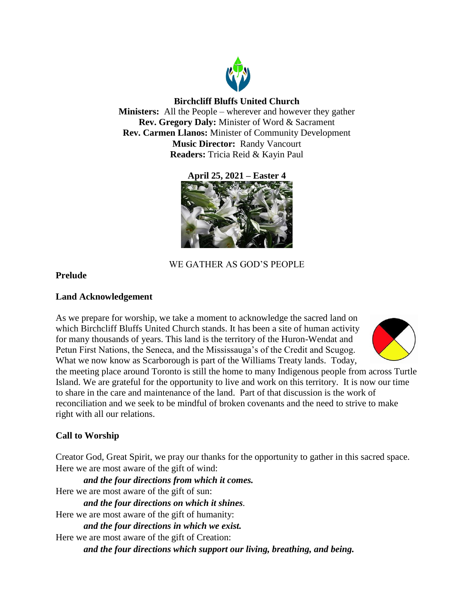

# **Birchcliff Bluffs United Church**

**Ministers:** All the People – wherever and however they gather **Rev. Gregory Daly:** Minister of Word & Sacrament **Rev. Carmen Llanos:** Minister of Community Development **Music Director:** Randy Vancourt **Readers:** Tricia Reid & Kayin Paul

**April 25, 2021 – Easter 4**



# WE GATHER AS GOD'S PEOPLE

# **Prelude**

# **Land Acknowledgement**

As we prepare for worship, we take a moment to acknowledge the sacred land on which Birchcliff Bluffs United Church stands. It has been a site of human activity for many thousands of years. This land is the territory of the Huron-Wendat and Petun First Nations, the Seneca, and the Mississauga's of the Credit and Scugog. What we now know as Scarborough is part of the Williams Treaty lands. Today,



the meeting place around Toronto is still the home to many Indigenous people from across Turtle Island. We are grateful for the opportunity to live and work on this territory. It is now our time to share in the care and maintenance of the land. Part of that discussion is the work of reconciliation and we seek to be mindful of broken covenants and the need to strive to make right with all our relations.

# **Call to Worship**

Creator God, Great Spirit, we pray our thanks for the opportunity to gather in this sacred space. Here we are most aware of the gift of wind:

*and the four directions from which it comes.* Here we are most aware of the gift of sun: *and the four directions on which it shines.*  Here we are most aware of the gift of humanity: *and the four directions in which we exist.* Here we are most aware of the gift of Creation: *and the four directions which support our living, breathing, and being.*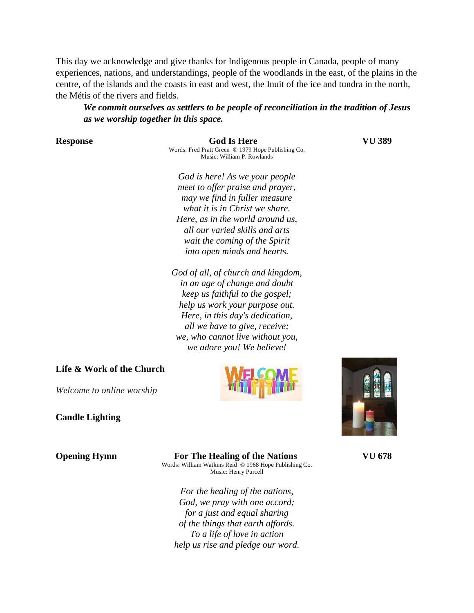This day we acknowledge and give thanks for Indigenous people in Canada, people of many experiences, nations, and understandings, people of the woodlands in the east, of the plains in the centre, of the islands and the coasts in east and west, the Inuit of the ice and tundra in the north, the Métis of the rivers and fields.

*We commit ourselves as settlers to be people of reconciliation in the tradition of Jesus as we worship together in this space.*

**Response God Is Here VU 389** Words: Fred Pratt Green © 1979 Hope Publishing Co. Music: William P. Rowlands

*God is here! As we your people meet to offer praise and prayer, may we find in fuller measure what it is in Christ we share. Here, as in the world around us, all our varied skills and arts wait the coming of the Spirit into open minds and hearts.*

*God of all, of church and kingdom, in an age of change and doubt keep us faithful to the gospel; help us work your purpose out. Here, in this day's dedication, all we have to give, receive; we, who cannot live without you, we adore you! We believe!*

### **Life & Work of the Church**

*Welcome to online worship*

### **Candle Lighting**



**Opening Hymn For The Healing of the Nations VU 678** Words: William Watkins Reid © 1968 Hope Publishing Co. Music: Henry Purcell

> *For the healing of the nations, God, we pray with one accord; for a just and equal sharing of the things that earth affords. To a life of love in action help us rise and pledge our word.*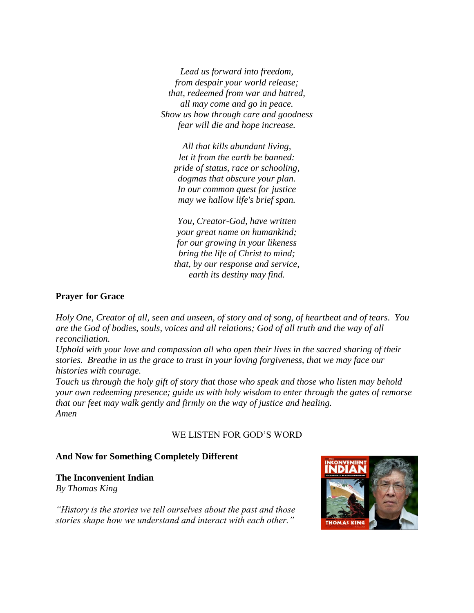*Lead us forward into freedom, from despair your world release; that, redeemed from war and hatred, all may come and go in peace. Show us how through care and goodness fear will die and hope increase.*

*All that kills abundant living, let it from the earth be banned: pride of status, race or schooling, dogmas that obscure your plan. In our common quest for justice may we hallow life's brief span.*

*You, Creator-God, have written your great name on humankind; for our growing in your likeness bring the life of Christ to mind; that, by our response and service, earth its destiny may find.*

# **Prayer for Grace**

*Holy One, Creator of all, seen and unseen, of story and of song, of heartbeat and of tears. You are the God of bodies, souls, voices and all relations; God of all truth and the way of all reconciliation.* 

*Uphold with your love and compassion all who open their lives in the sacred sharing of their stories. Breathe in us the grace to trust in your loving forgiveness, that we may face our histories with courage.* 

*Touch us through the holy gift of story that those who speak and those who listen may behold your own redeeming presence; guide us with holy wisdom to enter through the gates of remorse that our feet may walk gently and firmly on the way of justice and healing. Amen*

### WE LISTEN FOR GOD'S WORD

### **And Now for Something Completely Different**

**The Inconvenient Indian** 

*By Thomas King*

*"History is the stories we tell ourselves about the past and those stories shape how we understand and interact with each other."*

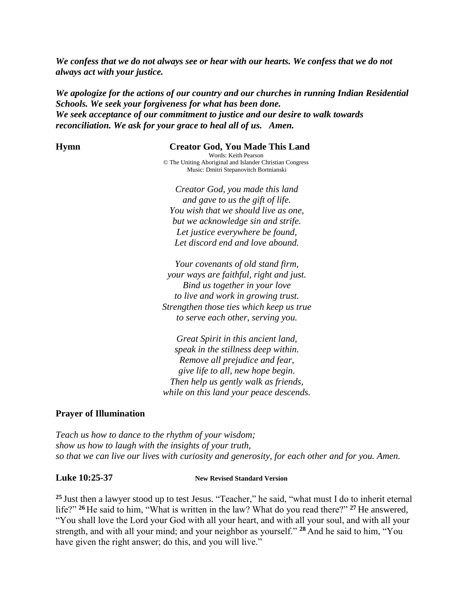*We confess that we do not always see or hear with our hearts. We confess that we do not always act with your justice.* 

*We apologize for the actions of our country and our churches in running Indian Residential Schools. We seek your forgiveness for what has been done. We seek acceptance of our commitment to justice and our desire to walk towards reconciliation. We ask for your grace to heal all of us. Amen.* 

### **Hymn Creator God, You Made This Land**

Words: Keith Pearson © The Uniting Aboriginal and Islander Christian Congress Music: Dmitri Stepanovitch Bortnianski

*Creator God, you made this land and gave to us the gift of life. You wish that we should live as one, but we acknowledge sin and strife. Let justice everywhere be found, Let discord end and love abound.*

*Your covenants of old stand firm, your ways are faithful, right and just. Bind us together in your love to live and work in growing trust. Strengthen those ties which keep us true to serve each other, serving you.*

*Great Spirit in this ancient land, speak in the stillness deep within. Remove all prejudice and fear, give life to all, new hope begin. Then help us gently walk as friends, while on this land your peace descends.*

### **Prayer of Illumination**

*Teach us how to dance to the rhythm of your wisdom; show us how to laugh with the insights of your truth, so that we can live our lives with curiosity and generosity, for each other and for you. Amen.*

**Luke 10:25-37 New Revised Standard Version**

**<sup>25</sup>** Just then a lawyer stood up to test Jesus. "Teacher," he said, "what must I do to inherit eternal life?" **<sup>26</sup>** He said to him, "What is written in the law? What do you read there?" **<sup>27</sup>** He answered, "You shall love the Lord your God with all your heart, and with all your soul, and with all your strength, and with all your mind; and your neighbor as yourself." **<sup>28</sup>** And he said to him, "You have given the right answer; do this, and you will live."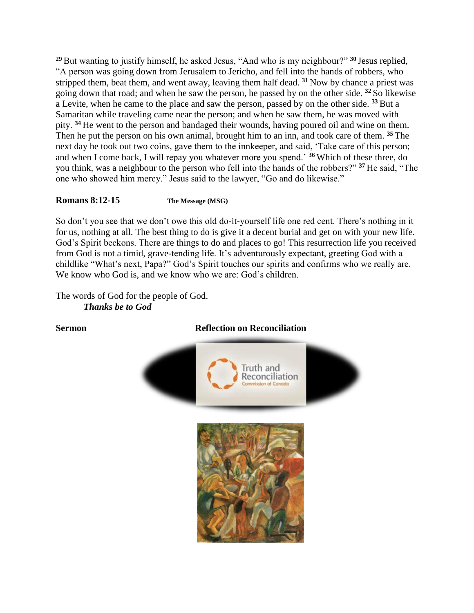**<sup>29</sup>**But wanting to justify himself, he asked Jesus, "And who is my neighbour?" **<sup>30</sup>** Jesus replied, "A person was going down from Jerusalem to Jericho, and fell into the hands of robbers, who stripped them, beat them, and went away, leaving them half dead. **<sup>31</sup>** Now by chance a priest was going down that road; and when he saw the person, he passed by on the other side. **<sup>32</sup>** So likewise a Levite, when he came to the place and saw the person, passed by on the other side. **<sup>33</sup>** But a Samaritan while traveling came near the person; and when he saw them, he was moved with pity. **<sup>34</sup>** He went to the person and bandaged their wounds, having poured oil and wine on them. Then he put the person on his own animal, brought him to an inn, and took care of them. **<sup>35</sup>** The next day he took out two coins, gave them to the innkeeper, and said, 'Take care of this person; and when I come back, I will repay you whatever more you spend.' **<sup>36</sup>** Which of these three, do you think, was a neighbour to the person who fell into the hands of the robbers?" **<sup>37</sup>** He said, "The one who showed him mercy." Jesus said to the lawyer, "Go and do likewise."

# **Romans 8:12-15 The Message (MSG)**

So don't you see that we don't owe this old do-it-yourself life one red cent. There's nothing in it for us, nothing at all. The best thing to do is give it a decent burial and get on with your new life. God's Spirit beckons. There are things to do and places to go! This resurrection life you received from God is not a timid, grave-tending life. It's adventurously expectant, greeting God with a childlike "What's next, Papa?" God's Spirit touches our spirits and confirms who we really are. We know who God is, and we know who we are: God's children.

The words of God for the people of God. *Thanks be to God*

# **Sermon Reflection on Reconciliation**



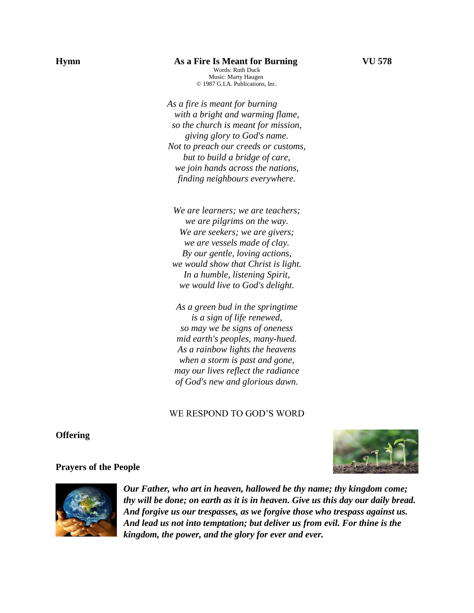# **Hymn As a Fire Is Meant for Burning VU 578**

Words: Ruth Duck Music: Marty Haugen © 1987 G.I.A. Publications, Inc.

*As a fire is meant for burning with a bright and warming flame, so the church is meant for mission, giving glory to God's name. Not to preach our creeds or customs, but to build a bridge of care, we join hands across the nations, finding neighbours everywhere.*

*We are learners; we are teachers; we are pilgrims on the way. We are seekers; we are givers; we are vessels made of clay. By our gentle, loving actions, we would show that Christ is light. In a humble, listening Spirit, we would live to God's delight.*

*As a green bud in the springtime is a sign of life renewed, so may we be signs of oneness mid earth's peoples, many-hued. As a rainbow lights the heavens when a storm is past and gone, may our lives reflect the radiance of God's new and glorious dawn.*

# WE RESPOND TO GOD'S WORD

**Offering** 



### **Prayers of the People**



*Our Father, who art in heaven, hallowed be thy name; thy kingdom come; thy will be done; on earth as it is in heaven. Give us this day our daily bread. And forgive us our trespasses, as we forgive those who trespass against us. And lead us not into temptation; but deliver us from evil. For thine is the kingdom, the power, and the glory for ever and ever.*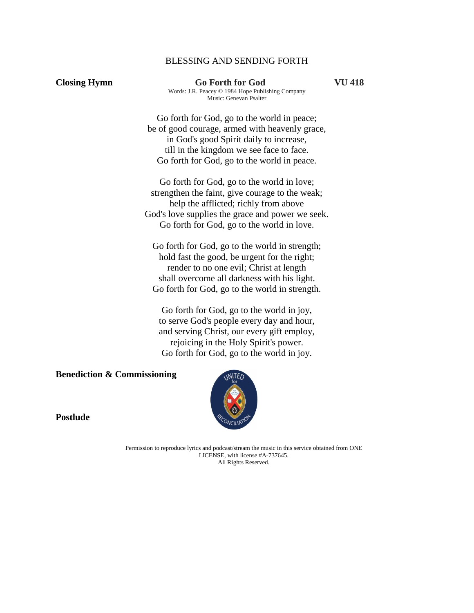## BLESSING AND SENDING FORTH

**Closing Hymn Go Forth for God VU 418** Words: J.R. Peacey © 1984 Hope Publishing Company Music: Genevan Psalter

> Go forth for God, go to the world in peace; be of good courage, armed with heavenly grace, in God's good Spirit daily to increase, till in the kingdom we see face to face. Go forth for God, go to the world in peace.

Go forth for God, go to the world in love; strengthen the faint, give courage to the weak; help the afflicted; richly from above God's love supplies the grace and power we seek. Go forth for God, go to the world in love.

Go forth for God, go to the world in strength; hold fast the good, be urgent for the right; render to no one evil; Christ at length shall overcome all darkness with his light. Go forth for God, go to the world in strength.

Go forth for God, go to the world in joy, to serve God's people every day and hour, and serving Christ, our every gift employ, rejoicing in the Holy Spirit's power. Go forth for God, go to the world in joy.

**Benediction & Commissioning**



**Postlude**

Permission to reproduce lyrics and podcast/stream the music in this service obtained from ONE LICENSE, with license #A-737645. All Rights Reserved.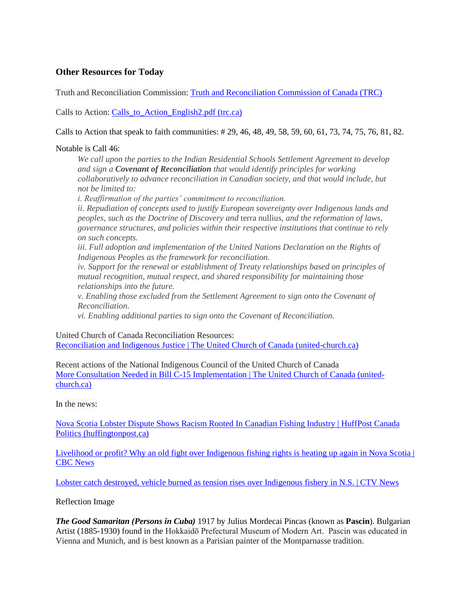# **Other Resources for Today**

Truth and Reconciliation Commission: [Truth and Reconciliation Commission of Canada \(TRC\)](http://www.trc.ca/)

Calls to Action: Calls to Action English2.pdf (trc.ca)

### Calls to Action that speak to faith communities: # 29, 46, 48, 49, 58, 59, 60, 61, 73, 74, 75, 76, 81, 82.

### Notable is Call 46:

*We call upon the parties to the Indian Residential Schools Settlement Agreement to develop and sign a Covenant of Reconciliation that would identify principles for working collaboratively to advance reconciliation in Canadian society, and that would include, but not be limited to:*

*i. Reaffirmation of the parties' commitment to reconciliation.*

*ii. Repudiation of concepts used to justify European sovereignty over Indigenous lands and peoples, such as the Doctrine of Discovery and* terra nullius, *and the reformation of laws, governance structures, and policies within their respective institutions that continue to rely on such concepts.*

*iii. Full adoption and implementation of the United Nations Declaration on the Rights of Indigenous Peoples as the framework for reconciliation.*

*iv. Support for the renewal or establishment of Treaty relationships based on principles of mutual recognition, mutual respect, and shared responsibility for maintaining those relationships into the future.*

*v. Enabling those excluded from the Settlement Agreement to sign onto the Covenant of Reconciliation.*

*vi. Enabling additional parties to sign onto the Covenant of Reconciliation.*

United Church of Canada Reconciliation Resources:

[Reconciliation and Indigenous Justice | The United Church of Canada \(united-church.ca\)](https://united-church.ca/social-action/justice-initiatives/reconciliation-and-indigenous-justice)

Recent actions of the National Indigenous Council of the United Church of Canada [More Consultation Needed in Bill C-15 Implementation | The United Church of Canada \(united](https://united-church.ca/news/more-consultation-needed-bill-c-15-implementation?goal=0_53a49c9e28-ff9511a48b-188592421&mc_cid=ff9511a48b&mc_eid=b2f7f266bd)[church.ca\)](https://united-church.ca/news/more-consultation-needed-bill-c-15-implementation?goal=0_53a49c9e28-ff9511a48b-188592421&mc_cid=ff9511a48b&mc_eid=b2f7f266bd)

In the news:

[Nova Scotia Lobster Dispute Shows Racism Rooted In Canadian Fishing Industry | HuffPost Canada](https://www.huffingtonpost.ca/entry/nova-scotia-lobster-dispute_ca_5f6b5cb7c5b6189caefabc48)  [Politics \(huffingtonpost.ca\)](https://www.huffingtonpost.ca/entry/nova-scotia-lobster-dispute_ca_5f6b5cb7c5b6189caefabc48)

Livelihood or profit? Why an old fight over Indigenous fishing rights is heating up again in Nova Scotia | [CBC News](https://www.cbc.ca/news/canada/mi-kmaw-sipekne-katik-self-regulated-fishery-nova-scotia-1.5734646)

[Lobster catch destroyed, vehicle burned as tension rises over Indigenous fishery in N.S. | CTV News](https://atlantic.ctvnews.ca/lobster-catch-destroyed-vehicle-burned-as-tension-rises-over-indigenous-fishery-in-n-s-1.5144540)

### Reflection Image

*The Good Samaritan (Persons in Cuba)* 1917 by Julius Mordecai Pincas (known as **Pascin**). Bulgarian Artist (1885-1930) found in the Hokkaidō Prefectural Museum of Modern Art. Pascin was educated in Vienna and Munich, and is best known as a Parisian painter of the Montparnasse tradition.